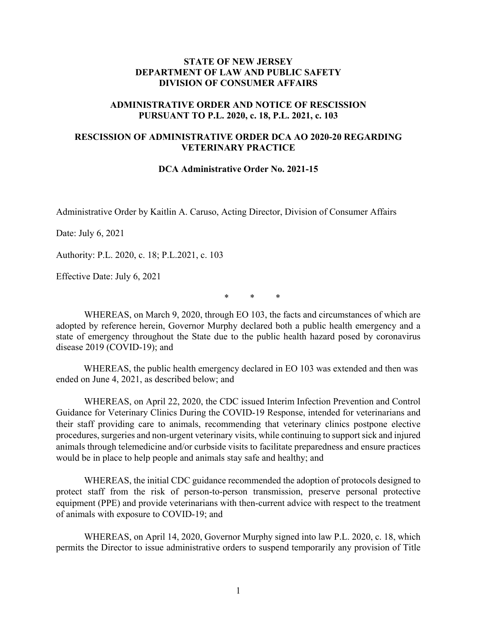## **STATE OF NEW JERSEY DEPARTMENT OF LAW AND PUBLIC SAFETY DIVISION OF CONSUMER AFFAIRS**

## **ADMINISTRATIVE ORDER AND NOTICE OF RESCISSION PURSUANT TO P.L. 2020, c. 18, P.L. 2021, c. 103**

## **RESCISSION OF ADMINISTRATIVE ORDER DCA AO 2020-20 REGARDING VETERINARY PRACTICE**

## **DCA Administrative Order No. 2021-15**

Administrative Order by Kaitlin A. Caruso, Acting Director, Division of Consumer Affairs

Date: July 6, 2021

Authority: P.L. 2020, c. 18; P.L.2021, c. 103

Effective Date: July 6, 2021

\* \* \*

WHEREAS, on March 9, 2020, through EO 103, the facts and circumstances of which are adopted by reference herein, Governor Murphy declared both a public health emergency and a state of emergency throughout the State due to the public health hazard posed by coronavirus disease 2019 (COVID-19); and

WHEREAS, the public health emergency declared in EO 103 was extended and then was ended on June 4, 2021, as described below; and

WHEREAS, on April 22, 2020, the CDC issued Interim Infection Prevention and Control Guidance for Veterinary Clinics During the COVID-19 Response, intended for veterinarians and their staff providing care to animals, recommending that veterinary clinics postpone elective procedures, surgeries and non-urgent veterinary visits, while continuing to support sick and injured animals through telemedicine and/or curbside visits to facilitate preparedness and ensure practices would be in place to help people and animals stay safe and healthy; and

WHEREAS, the initial CDC guidance recommended the adoption of protocols designed to protect staff from the risk of person-to-person transmission, preserve personal protective equipment (PPE) and provide veterinarians with then-current advice with respect to the treatment of animals with exposure to COVID-19; and

WHEREAS, on April 14, 2020, Governor Murphy signed into law P.L. 2020, c. 18, which permits the Director to issue administrative orders to suspend temporarily any provision of Title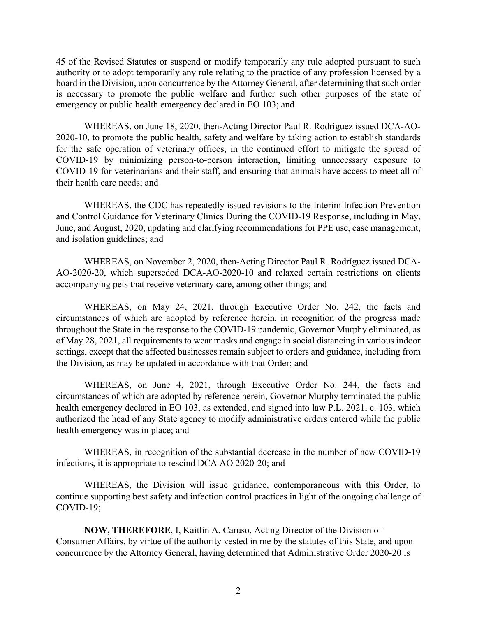45 of the Revised Statutes or suspend or modify temporarily any rule adopted pursuant to such authority or to adopt temporarily any rule relating to the practice of any profession licensed by a board in the Division, upon concurrence by the Attorney General, after determining that such order is necessary to promote the public welfare and further such other purposes of the state of emergency or public health emergency declared in EO 103; and

WHEREAS, on June 18, 2020, then-Acting Director Paul R. Rodríguez issued DCA-AO-2020-10, to promote the public health, safety and welfare by taking action to establish standards for the safe operation of veterinary offices, in the continued effort to mitigate the spread of COVID-19 by minimizing person-to-person interaction, limiting unnecessary exposure to COVID-19 for veterinarians and their staff, and ensuring that animals have access to meet all of their health care needs; and

WHEREAS, the CDC has repeatedly issued revisions to the Interim Infection Prevention and Control Guidance for Veterinary Clinics During the COVID-19 Response, including in May, June, and August, 2020, updating and clarifying recommendations for PPE use, case management, and isolation guidelines; and

WHEREAS, on November 2, 2020, then-Acting Director Paul R. Rodríguez issued DCA-AO-2020-20, which superseded DCA-AO-2020-10 and relaxed certain restrictions on clients accompanying pets that receive veterinary care, among other things; and

WHEREAS, on May 24, 2021, through Executive Order No. 242, the facts and circumstances of which are adopted by reference herein, in recognition of the progress made throughout the State in the response to the COVID-19 pandemic, Governor Murphy eliminated, as of May 28, 2021, all requirements to wear masks and engage in social distancing in various indoor settings, except that the affected businesses remain subject to orders and guidance, including from the Division, as may be updated in accordance with that Order; and

WHEREAS, on June 4, 2021, through Executive Order No. 244, the facts and circumstances of which are adopted by reference herein, Governor Murphy terminated the public health emergency declared in EO 103, as extended, and signed into law P.L. 2021, c. 103, which authorized the head of any State agency to modify administrative orders entered while the public health emergency was in place; and

WHEREAS, in recognition of the substantial decrease in the number of new COVID-19 infections, it is appropriate to rescind DCA AO 2020-20; and

WHEREAS, the Division will issue guidance, contemporaneous with this Order, to continue supporting best safety and infection control practices in light of the ongoing challenge of COVID-19;

**NOW, THEREFORE**, I, Kaitlin A. Caruso, Acting Director of the Division of Consumer Affairs, by virtue of the authority vested in me by the statutes of this State, and upon concurrence by the Attorney General, having determined that Administrative Order 2020-20 is